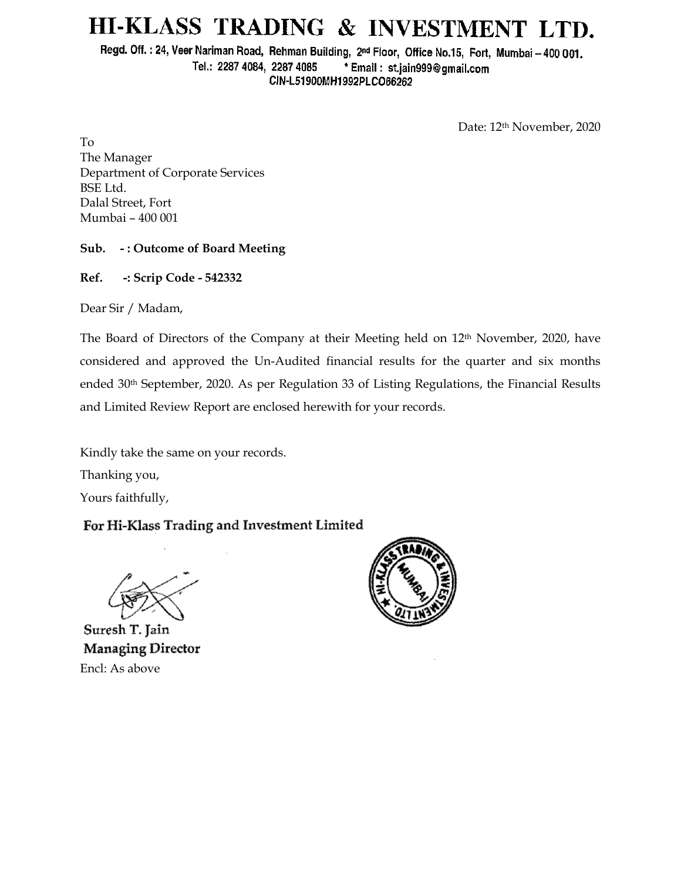# HI-KLASS TRADING & INVESTMENT LTD.

Regd. Off.: 24, Veer Nariman Road, Rehman Building, 2nd Floor, Office No.15, Fort, Mumbai - 400 001. Tel.: 2287 4084, 2287 4085 \* Email: st.jain999@gmail.com CIN-L51900MH1992PLCO66262

Date: 12th November, 2020

To The Manager Department of Corporate Services BSE Ltd. Dalal Street, Fort Mumbai – 400 001

### **Sub. - : Outcome of Board Meeting**

**Ref. -: Scrip Code - 542332**

Dear Sir / Madam,

The Board of Directors of the Company at their Meeting held on 12th November, 2020, have considered and approved the Un-Audited financial results for the quarter and six months ended 30th September, 2020. As per Regulation 33 of Listing Regulations, the Financial Results and Limited Review Report are enclosed herewith for your records.

Kindly take the same on your records.

Thanking you,

Yours faithfully,

## For Hi-Klass Trading and Investment Limited

Suresh T. Jain Managing Director Encl: As above

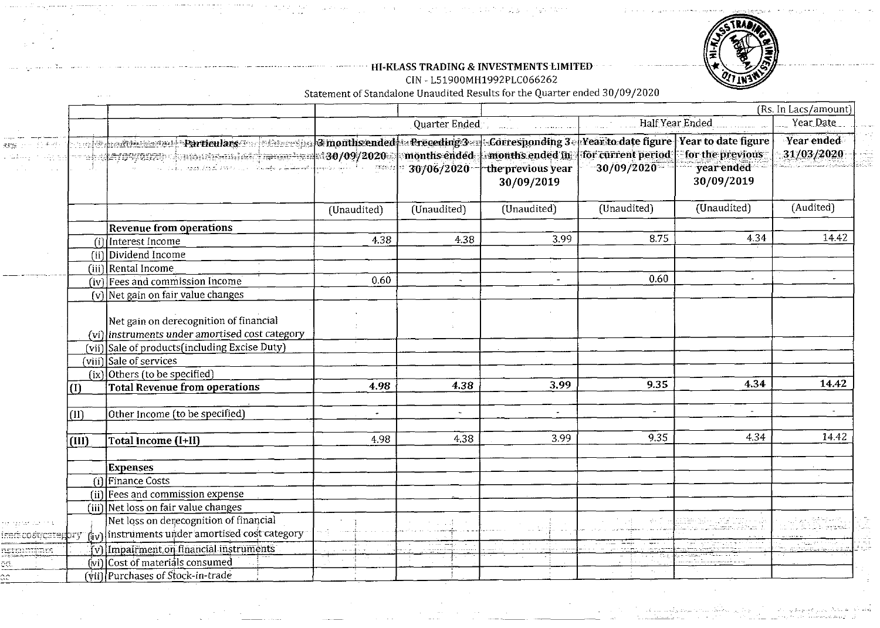

#### ~ .~ ~ ~ .~..~ .. **HI-KLASS TRADING** & **INVESTMENTS LIMITED** . . ~ .~.~ .. CIN - **L51900MH1992PLC066262**

やうはおき 228

e San  $\mathcal{I}(\mathcal{I}_\infty) \leq \epsilon$ 

**Statement of Standalone Unaudited Results for the Quarter ended 30/09/2020** 

- - :

|                                                                                                                                              |        |                                                                                                                            |               |                            |                                                                     |                                                                                                                                                      |                                              | (Rs. In Lacs/amount)                       |
|----------------------------------------------------------------------------------------------------------------------------------------------|--------|----------------------------------------------------------------------------------------------------------------------------|---------------|----------------------------|---------------------------------------------------------------------|------------------------------------------------------------------------------------------------------------------------------------------------------|----------------------------------------------|--------------------------------------------|
|                                                                                                                                              |        |                                                                                                                            |               | Quarter Ended              |                                                                     |                                                                                                                                                      | Half Year Ended                              | Year Date                                  |
| 螺鎖 ティーロネック<br>$\langle \mathbb{Z}, \mathbb{E}_1, \mathbb{E}_2 \rangle \cong \langle \mathbb{E}_1, \mathbb{E}_2 \rangle \otimes \mathbb{E}_3$ |        | <b>Exploration Particulars Constitute Smoothsended</b><br>we had a 109/0929 computed into the contract $\sim 30/09/2020$ . |               | months ended<br>30/06/2020 | $\ldots$ months ended in $\cdot$<br>the previous year<br>30/09/2019 | $\parallel$ - Preceding 3 $\parallel$ - Corresponding 3 $\parallel$ Year to date figure   Year to date figure<br>for current period<br>$-30/09/2020$ | for the previous<br>year ended<br>30/09/2019 | <b>Year ended</b><br>31/03/2020            |
|                                                                                                                                              |        |                                                                                                                            | (Unaudited)   | (Unaudited)                | (Unaudited)                                                         | (Unaudited)                                                                                                                                          | (Unaudited)                                  | (Audited)                                  |
|                                                                                                                                              |        | <b>Revenue from operations</b>                                                                                             |               |                            |                                                                     |                                                                                                                                                      |                                              |                                            |
|                                                                                                                                              |        | (i) Interest Income                                                                                                        | 4.38          | 4.38                       | 3.99                                                                | 8.75                                                                                                                                                 | 4.34                                         | 14.42                                      |
|                                                                                                                                              |        | $(ii)$ Dividend Income                                                                                                     |               |                            |                                                                     |                                                                                                                                                      |                                              |                                            |
|                                                                                                                                              |        | (iii) Rental Income                                                                                                        |               |                            |                                                                     |                                                                                                                                                      |                                              |                                            |
|                                                                                                                                              |        | (iv) Fees and commission Income                                                                                            | 0.60          | $\tilde{\phantom{a}}$      | $\overline{\phantom{a}}$                                            | 0.60                                                                                                                                                 | $\bullet$                                    |                                            |
|                                                                                                                                              |        | $(v)$ Net gain on fair value changes                                                                                       |               |                            |                                                                     |                                                                                                                                                      |                                              |                                            |
|                                                                                                                                              |        | Net gain on derecognition of financial<br>(vi) instruments under amortised cost category                                   |               |                            |                                                                     |                                                                                                                                                      |                                              |                                            |
|                                                                                                                                              |        | (vii) Sale of products (including Excise Duty)                                                                             |               |                            |                                                                     |                                                                                                                                                      |                                              |                                            |
|                                                                                                                                              | (viii) | Sale of services                                                                                                           |               |                            |                                                                     |                                                                                                                                                      |                                              |                                            |
|                                                                                                                                              |        | (ix) Others (to be specified)                                                                                              |               |                            |                                                                     |                                                                                                                                                      |                                              |                                            |
|                                                                                                                                              | (1)    | <b>Total Revenue from operations</b>                                                                                       | 4.98          | 4.38                       | 3.99                                                                | 9.35                                                                                                                                                 | 4.34                                         | 14.42                                      |
|                                                                                                                                              | (II)   | Other Income (to be specified)                                                                                             | $\bullet$     | $\overline{\phantom{a}}$   | $\sim$                                                              |                                                                                                                                                      |                                              |                                            |
|                                                                                                                                              | (III)  | Total Income (I+II)                                                                                                        | 4.98          | 4.38                       | 3.99                                                                | 9.35                                                                                                                                                 | 4.34                                         | 14.42                                      |
|                                                                                                                                              |        | <b>Expenses</b>                                                                                                            |               |                            |                                                                     |                                                                                                                                                      |                                              |                                            |
|                                                                                                                                              |        | <b>Gilfinance Costs</b>                                                                                                    |               |                            |                                                                     |                                                                                                                                                      |                                              |                                            |
|                                                                                                                                              |        | $(ii)$ Fees and commission expense                                                                                         |               |                            |                                                                     |                                                                                                                                                      |                                              |                                            |
|                                                                                                                                              |        | (iii) Net loss on fair value changes                                                                                       |               |                            |                                                                     |                                                                                                                                                      |                                              |                                            |
| r aran an ch                                                                                                                                 |        | Net loss on derecognition of financial                                                                                     |               |                            |                                                                     |                                                                                                                                                      |                                              |                                            |
| ried:coeticategiory                                                                                                                          |        | (iv) instruments under amortised cost category                                                                             |               |                            |                                                                     |                                                                                                                                                      |                                              |                                            |
| gern <del>ini</del> ngs                                                                                                                      |        | (v) Impairment on financial instruments                                                                                    | $\sim$ $\sim$ |                            |                                                                     |                                                                                                                                                      |                                              | <u>Tij vla</u> stniklik<br>Generativ aastr |
|                                                                                                                                              |        | (vi) Cost of materials consumed                                                                                            |               |                            |                                                                     |                                                                                                                                                      |                                              |                                            |
|                                                                                                                                              |        | (vii) Purchases of Stock-in-trade                                                                                          |               |                            |                                                                     |                                                                                                                                                      |                                              |                                            |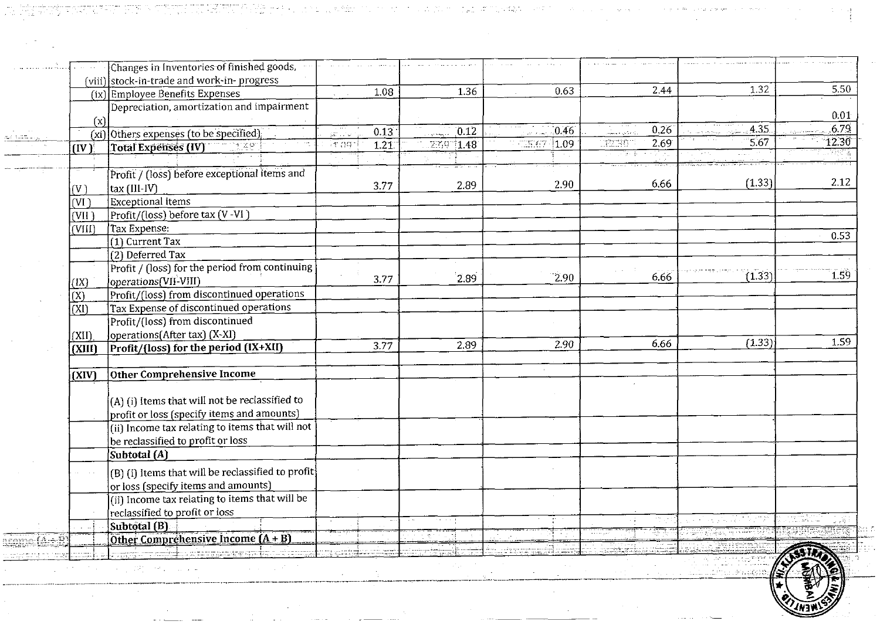|                         | Changes in Inventories of finished goods,         |                                |          |               |                                   |        |       |
|-------------------------|---------------------------------------------------|--------------------------------|----------|---------------|-----------------------------------|--------|-------|
|                         | (viii) stock-in-trade and work-in-progress        | 1.08                           | 1.36     | 0.63          | 2.44                              | 1.32   | 5.50  |
|                         | (ix) Employee Benefits Expenses                   |                                |          |               |                                   |        |       |
|                         | Depreciation, amortization and impairment         |                                |          |               |                                   |        | 0.01  |
| (x)                     |                                                   | 0.13                           | [0.12]   | 0.46          | 0.26                              | 4.35   | 6.79  |
|                         | (xi) Others expenses (to be specified)            | gan Ling<br>်နာ့ ဂူၾဂါ<br>1.21 | ZK9 1.48 | 15.67<br>1.09 | $\overline{\mathbb{R}^2}$<br>2,69 | 5.67   | 12.30 |
| (IV)                    | 11.491<br><b>Total Expenses (IV)</b>              |                                |          |               |                                   |        |       |
|                         |                                                   |                                |          |               |                                   |        |       |
|                         | Profit / (loss) before exceptional items and      |                                |          |               | 6.66                              | (1.33) | 2.12  |
| (V)                     | tax (III-IV)                                      | 3.77                           | 2.89     | 2.90          |                                   |        |       |
| (VI)                    | Exceptional items                                 |                                |          |               |                                   |        |       |
| (VII)                   | Profit/(loss) before tax (V-VI)                   |                                |          |               |                                   |        |       |
| (VIII)                  | Tax Expense:                                      |                                |          |               |                                   |        |       |
|                         | $\overline{(1)}$ Current Tax                      |                                |          |               |                                   |        | 0.53  |
|                         | $\overline{(2)}$ Deferred Tax                     |                                |          |               |                                   |        |       |
|                         | Profit / (loss) for the period from continuing    |                                |          |               |                                   |        |       |
| (IX)                    | operations (VII-VIII)                             | 3.77                           | 2.89     | 2.90          | 6.66                              | (1.33) | 1.59  |
| (X)                     | Profit/(loss) from discontinued operations        |                                |          |               |                                   |        |       |
| (XI)                    | Tax Expense of discontinued operations            |                                |          |               |                                   |        |       |
|                         | Profit/(loss) from discontinued                   |                                |          |               |                                   |        |       |
| (XII)                   | operations(After tax) (X-XI)                      |                                |          |               |                                   |        |       |
|                         |                                                   |                                |          |               | 6.66                              |        | 1.59  |
|                         |                                                   |                                |          | 2.90          |                                   | (1.33) |       |
| (XIII)                  | Profit/(loss) for the period (IX+XII)             | 3.77                           | 2.89     |               |                                   |        |       |
|                         |                                                   |                                |          |               |                                   |        |       |
| (XIV)                   | Other Comprehensive Income                        |                                |          |               |                                   |        |       |
|                         |                                                   |                                |          |               |                                   |        |       |
|                         | (A) (i) Items that will not be reclassified to    |                                |          |               |                                   |        |       |
|                         | profit or loss (specify items and amounts)        |                                |          |               |                                   |        |       |
|                         | (ii) Income tax relating to items that will not   |                                |          |               |                                   |        |       |
|                         | be reclassified to profit or loss                 |                                |          |               |                                   |        |       |
|                         | Subtotal (A)                                      |                                |          |               |                                   |        |       |
|                         | (B) (i) Items that will be reclassified to profit |                                |          |               |                                   |        |       |
|                         | or loss (specify items and amounts)               |                                |          |               |                                   |        |       |
|                         | (ii) Income tax relating to items that will be    |                                |          |               |                                   |        |       |
|                         | reclassified to profit or loss                    |                                |          |               |                                   |        |       |
|                         | Subtotal (B)                                      |                                |          |               |                                   |        |       |
| $\overline{\mathbf{z}}$ | Other Comprehensive Income (A + B)                |                                |          |               |                                   |        |       |
|                         | <del>sa ba</del> ri sa sanan s                    |                                |          |               |                                   |        |       |

 $\alpha$  , where  $\alpha$  is the proposition of the proposition of the  $\alpha$  -proposition of the proposition of the  $\alpha$ 

الأروم يعاد الأداري العليم للواقع والروادي اللغة الدارور با

大气体

a na mata

- 1500 MW TAMAN A BAD

as and J

 $\frac{1}{2} \frac{1}{\sqrt{2}} \frac{1}{\sqrt{2}} \frac{1}{\sqrt{2}} \frac{1}{\sqrt{2}}$ 

e innium agus atá.<br>Tagairtí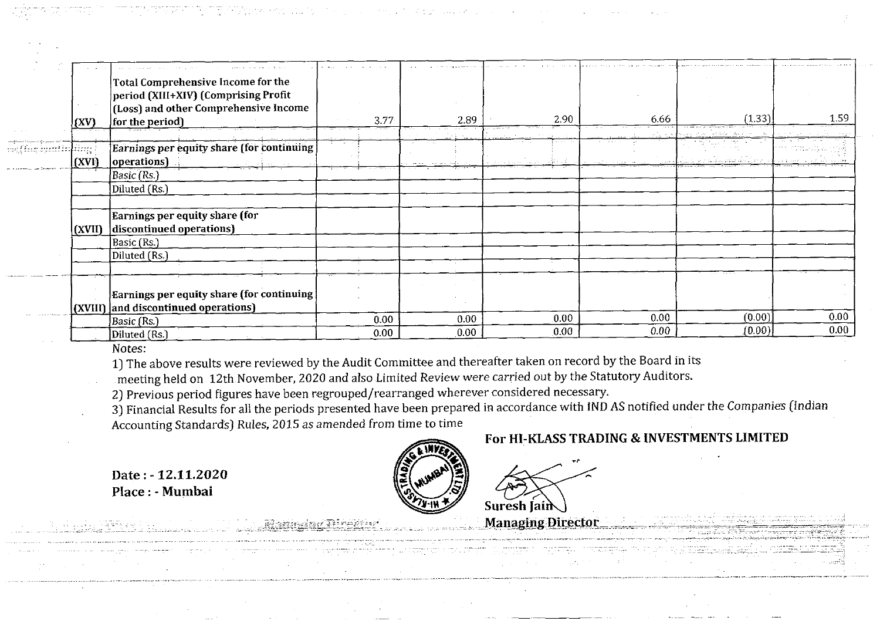|                | (XV)   | Total Comprehensive Income for the<br>period (XIII+XIV) (Comprising Profit<br>(Loss) and other Comprehensive Income<br>for the period) | 3.77 | 2.89 | 2.90           | 6.66                 | (1.33)                       | 1.59              |
|----------------|--------|----------------------------------------------------------------------------------------------------------------------------------------|------|------|----------------|----------------------|------------------------------|-------------------|
|                |        |                                                                                                                                        |      |      | and the second | $\sim$ $\sim$ $\sim$ | and the Congress of Congress |                   |
| 43 tempramilas | (XVI)  | Earnings per equity share (for continuing<br>operations)                                                                               |      |      |                |                      | ang tilitas geberasas (gamen |                   |
|                |        | Basic (Rs.)                                                                                                                            |      |      |                |                      |                              |                   |
|                |        | Diluted (Rs.)                                                                                                                          |      |      |                |                      |                              |                   |
|                |        | Earnings per equity share (for                                                                                                         |      |      |                |                      |                              |                   |
|                | (XVII) | discontinued operations)                                                                                                               |      |      |                |                      |                              |                   |
|                |        | Basic (Rs.)                                                                                                                            |      |      |                |                      |                              |                   |
|                |        | Diluted (Rs.)                                                                                                                          |      |      |                |                      |                              |                   |
|                |        | Earnings per equity share (for continuing                                                                                              |      |      |                |                      |                              |                   |
|                |        | $\vert$ (XVIII) and discontinued operations)                                                                                           |      |      |                |                      |                              |                   |
|                |        | Basic (Rs.)                                                                                                                            | 0.00 | 0.00 | 0.00           | 0.00                 | (0.00)                       | 0.00              |
|                |        | Diluted (Rs.)                                                                                                                          | 0.00 | 0.00 | 0.00           | 0.00                 | (0.00)                       | 0.00 <sub>1</sub> |

Notes:

1) The above results were reviewed by the Audit Committee and thereafter taken on record by the Board in its

meeting held on 12th November, 2020 and also Limited Review were carried out by the Statutory Auditors.

2) Previous period figures have been regrouped/rearranged wherever considered necessary.

Accounting Standards) Rules, 2015 as amended from time to time **3)** Financial Results for all the periods presented have been prepared in accordance with **IND** AS notified under the Companies (Indian

# **For HI-KLASS TRADING** & **INVESTMENTS LIMITED**

**Date** : - **12.11.2020 Place** : - **Mumbai** 

Suresh  $[ain]$ 

**Managing Director**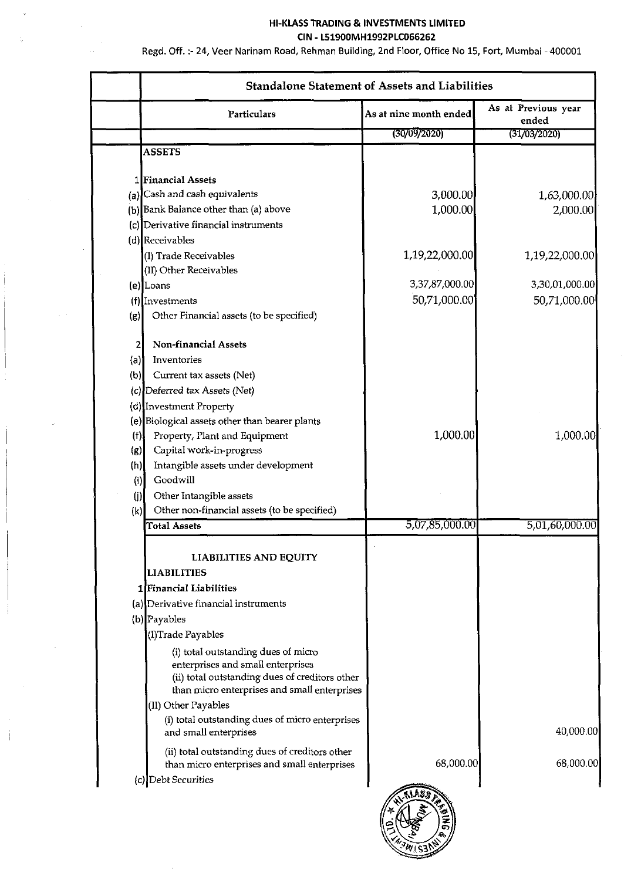#### **HI-KLASS TRADING** & **INVESTMENTS LIMITED CIN** - **L51900MH1992PLC066262**

Regd. Off. :- 24, Veer Narinam Road, Rehman Building, 2nd Floor, Office No **15,** Fort, Mumbai - 400001

 $\ddot{\phantom{0}}$ 

| (30/09/2020)<br>3,000.00<br>1,000.00 | (31/03/2020)<br>2,000.00                                                                                                                                                                                                                                     |
|--------------------------------------|--------------------------------------------------------------------------------------------------------------------------------------------------------------------------------------------------------------------------------------------------------------|
|                                      | 1,63,000.00                                                                                                                                                                                                                                                  |
|                                      |                                                                                                                                                                                                                                                              |
|                                      |                                                                                                                                                                                                                                                              |
|                                      |                                                                                                                                                                                                                                                              |
|                                      |                                                                                                                                                                                                                                                              |
|                                      |                                                                                                                                                                                                                                                              |
|                                      |                                                                                                                                                                                                                                                              |
|                                      | 1,19,22,000.00                                                                                                                                                                                                                                               |
|                                      |                                                                                                                                                                                                                                                              |
| 3,37,87,000.00                       | 3,30,01,000.00                                                                                                                                                                                                                                               |
|                                      | 50,71,000.00                                                                                                                                                                                                                                                 |
|                                      |                                                                                                                                                                                                                                                              |
|                                      |                                                                                                                                                                                                                                                              |
|                                      |                                                                                                                                                                                                                                                              |
|                                      |                                                                                                                                                                                                                                                              |
|                                      |                                                                                                                                                                                                                                                              |
|                                      |                                                                                                                                                                                                                                                              |
|                                      |                                                                                                                                                                                                                                                              |
|                                      | 1,000.00                                                                                                                                                                                                                                                     |
|                                      |                                                                                                                                                                                                                                                              |
|                                      |                                                                                                                                                                                                                                                              |
|                                      |                                                                                                                                                                                                                                                              |
|                                      |                                                                                                                                                                                                                                                              |
|                                      |                                                                                                                                                                                                                                                              |
| 5,07,85,000.00                       | 5,01,60,000.00                                                                                                                                                                                                                                               |
|                                      |                                                                                                                                                                                                                                                              |
|                                      |                                                                                                                                                                                                                                                              |
|                                      |                                                                                                                                                                                                                                                              |
|                                      |                                                                                                                                                                                                                                                              |
|                                      |                                                                                                                                                                                                                                                              |
|                                      |                                                                                                                                                                                                                                                              |
|                                      |                                                                                                                                                                                                                                                              |
|                                      |                                                                                                                                                                                                                                                              |
|                                      |                                                                                                                                                                                                                                                              |
|                                      |                                                                                                                                                                                                                                                              |
|                                      |                                                                                                                                                                                                                                                              |
|                                      |                                                                                                                                                                                                                                                              |
|                                      | 40,000.00                                                                                                                                                                                                                                                    |
|                                      |                                                                                                                                                                                                                                                              |
|                                      | 68,000.00                                                                                                                                                                                                                                                    |
|                                      |                                                                                                                                                                                                                                                              |
|                                      |                                                                                                                                                                                                                                                              |
|                                      |                                                                                                                                                                                                                                                              |
|                                      | 1,19,22,000.00<br>50,71,000.00<br>1,000.00<br>(ii) total outstanding dues of creditors other<br>than micro enterprises and small enterprises<br>(i) total outstanding dues of micro enterprises<br>68,000.00<br>than micro enterprises and small enterprises |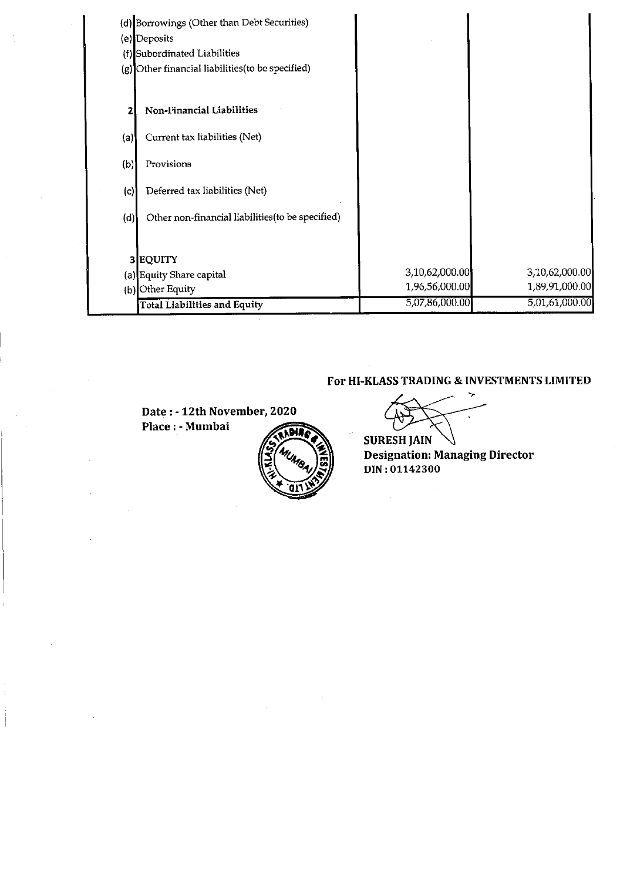|     | (d) Borrowings (Other than Debt Securities)       |                |                |
|-----|---------------------------------------------------|----------------|----------------|
|     | (e) Deposits                                      |                |                |
|     | (f) Subordinated Liabilities                      |                |                |
|     | (g) Other financial liabilities (to be specified) |                |                |
|     | Non-Financial Liabilities                         |                |                |
| (a) | Current tax liabilities (Net)                     |                |                |
| (b) | Provisions                                        |                |                |
| (c) | Deferred tax liabilities (Net)                    |                |                |
| (d) | Other non-financial liabilities (to be specified) |                |                |
|     | 3 EQUITY                                          |                |                |
|     | (a) Equity Share capital                          | 3,10,62,000.00 | 3,10,62,000.00 |
|     | (b) Other Equity                                  | 1,96,56,000.00 | 1,89,91,000.00 |
|     | Total Liabilities and Equity                      | 5,07,86,000.00 | 5,01,61,000.00 |

### **For HI-KLASS TRADING** & **INVESTMENTS LIMITED**

Date: - 12th November, 2020 Place : - Mumbai



**SURESH JAIN**<br> **Designation: Managing Director DIN** : **01142300** 

 $\mathcal{L}^{(1)}$